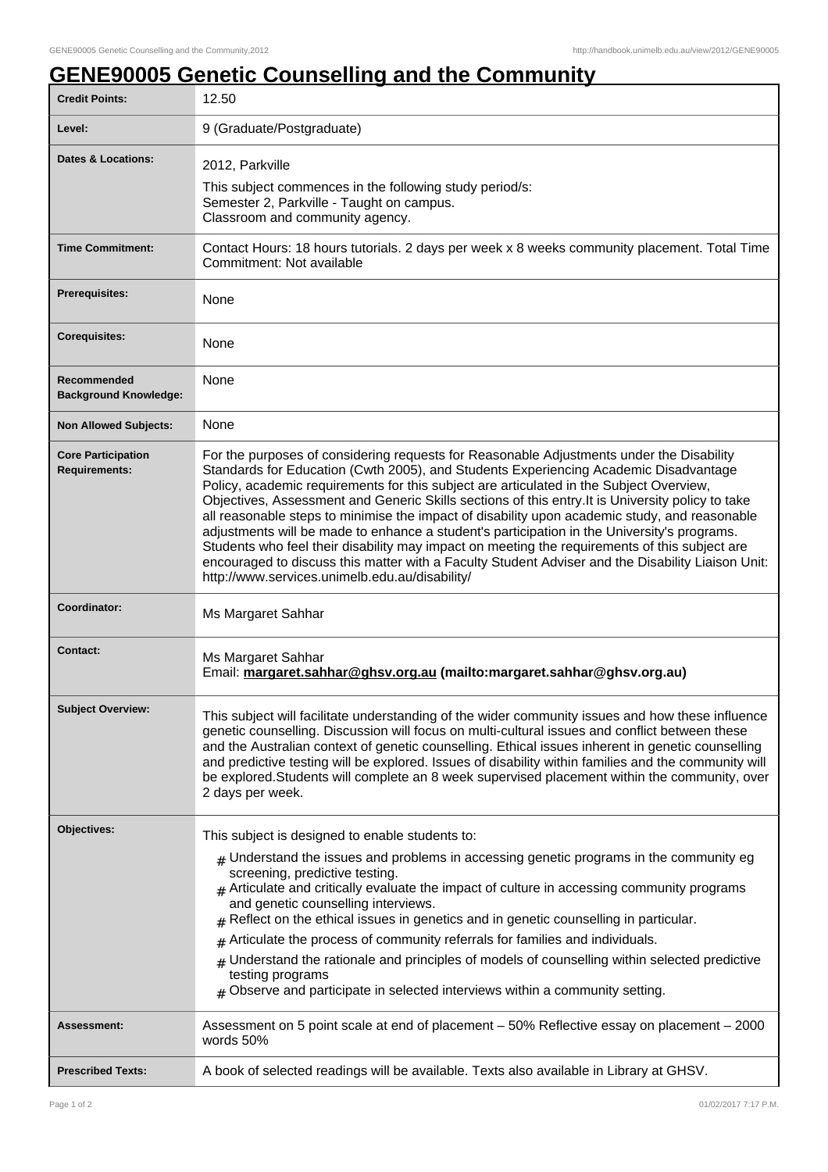## **GENE90005 Genetic Counselling and the Community**

| <b>Credit Points:</b>                             | 12.50                                                                                                                                                                                                                                                                                                                                                                                                                                                                                                                                                                                                                                                                                                                                                                                                                                    |
|---------------------------------------------------|------------------------------------------------------------------------------------------------------------------------------------------------------------------------------------------------------------------------------------------------------------------------------------------------------------------------------------------------------------------------------------------------------------------------------------------------------------------------------------------------------------------------------------------------------------------------------------------------------------------------------------------------------------------------------------------------------------------------------------------------------------------------------------------------------------------------------------------|
| Level:                                            | 9 (Graduate/Postgraduate)                                                                                                                                                                                                                                                                                                                                                                                                                                                                                                                                                                                                                                                                                                                                                                                                                |
| <b>Dates &amp; Locations:</b>                     | 2012, Parkville<br>This subject commences in the following study period/s:<br>Semester 2, Parkville - Taught on campus.<br>Classroom and community agency.                                                                                                                                                                                                                                                                                                                                                                                                                                                                                                                                                                                                                                                                               |
| <b>Time Commitment:</b>                           | Contact Hours: 18 hours tutorials. 2 days per week x 8 weeks community placement. Total Time<br>Commitment: Not available                                                                                                                                                                                                                                                                                                                                                                                                                                                                                                                                                                                                                                                                                                                |
| Prerequisites:                                    | None                                                                                                                                                                                                                                                                                                                                                                                                                                                                                                                                                                                                                                                                                                                                                                                                                                     |
| <b>Corequisites:</b>                              | None                                                                                                                                                                                                                                                                                                                                                                                                                                                                                                                                                                                                                                                                                                                                                                                                                                     |
| Recommended<br><b>Background Knowledge:</b>       | None                                                                                                                                                                                                                                                                                                                                                                                                                                                                                                                                                                                                                                                                                                                                                                                                                                     |
| <b>Non Allowed Subjects:</b>                      | None                                                                                                                                                                                                                                                                                                                                                                                                                                                                                                                                                                                                                                                                                                                                                                                                                                     |
| <b>Core Participation</b><br><b>Requirements:</b> | For the purposes of considering requests for Reasonable Adjustments under the Disability<br>Standards for Education (Cwth 2005), and Students Experiencing Academic Disadvantage<br>Policy, academic requirements for this subject are articulated in the Subject Overview,<br>Objectives, Assessment and Generic Skills sections of this entry. It is University policy to take<br>all reasonable steps to minimise the impact of disability upon academic study, and reasonable<br>adjustments will be made to enhance a student's participation in the University's programs.<br>Students who feel their disability may impact on meeting the requirements of this subject are<br>encouraged to discuss this matter with a Faculty Student Adviser and the Disability Liaison Unit:<br>http://www.services.unimelb.edu.au/disability/ |
| Coordinator:                                      | Ms Margaret Sahhar                                                                                                                                                                                                                                                                                                                                                                                                                                                                                                                                                                                                                                                                                                                                                                                                                       |
| <b>Contact:</b>                                   | Ms Margaret Sahhar<br>Email: margaret.sahhar@ghsv.org.au (mailto:margaret.sahhar@ghsv.org.au)                                                                                                                                                                                                                                                                                                                                                                                                                                                                                                                                                                                                                                                                                                                                            |
| <b>Subject Overview:</b>                          | This subject will facilitate understanding of the wider community issues and how these influence<br>genetic counselling. Discussion will focus on multi-cultural issues and conflict between these<br>and the Australian context of genetic counselling. Ethical issues inherent in genetic counselling<br>and predictive testing will be explored. Issues of disability within families and the community will<br>be explored. Students will complete an 8 week supervised placement within the community, over<br>2 days per week.                                                                                                                                                                                                                                                                                                     |
| <b>Objectives:</b>                                | This subject is designed to enable students to:                                                                                                                                                                                                                                                                                                                                                                                                                                                                                                                                                                                                                                                                                                                                                                                          |
|                                                   | $#$ Understand the issues and problems in accessing genetic programs in the community eg<br>screening, predictive testing.<br>$_{\text{\#}}$ Articulate and critically evaluate the impact of culture in accessing community programs<br>and genetic counselling interviews.<br>Reflect on the ethical issues in genetics and in genetic counselling in particular.<br>Articulate the process of community referrals for families and individuals.<br>#<br>Understand the rationale and principles of models of counselling within selected predictive<br>#<br>testing programs<br>$#$ Observe and participate in selected interviews within a community setting.                                                                                                                                                                        |
| Assessment:                                       | Assessment on 5 point scale at end of placement - 50% Reflective essay on placement - 2000<br>words 50%                                                                                                                                                                                                                                                                                                                                                                                                                                                                                                                                                                                                                                                                                                                                  |
| <b>Prescribed Texts:</b>                          | A book of selected readings will be available. Texts also available in Library at GHSV.                                                                                                                                                                                                                                                                                                                                                                                                                                                                                                                                                                                                                                                                                                                                                  |